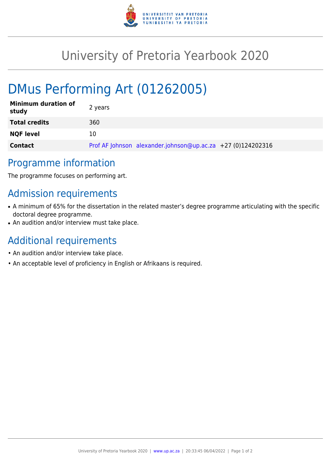

## University of Pretoria Yearbook 2020

# DMus Performing Art (01262005)

| <b>Minimum duration of</b><br>study | 2 years                                                     |
|-------------------------------------|-------------------------------------------------------------|
| <b>Total credits</b>                | 360                                                         |
| <b>NQF level</b>                    | 10                                                          |
| <b>Contact</b>                      | Prof AF Johnson alexander.johnson@up.ac.za +27 (0)124202316 |

#### Programme information

The programme focuses on performing art.

### Admission requirements

- A minimum of 65% for the dissertation in the related master's degree programme articulating with the specific doctoral degree programme.
- An audition and/or interview must take place.

### Additional requirements

- An audition and/or interview take place.
- An acceptable level of proficiency in English or Afrikaans is required.